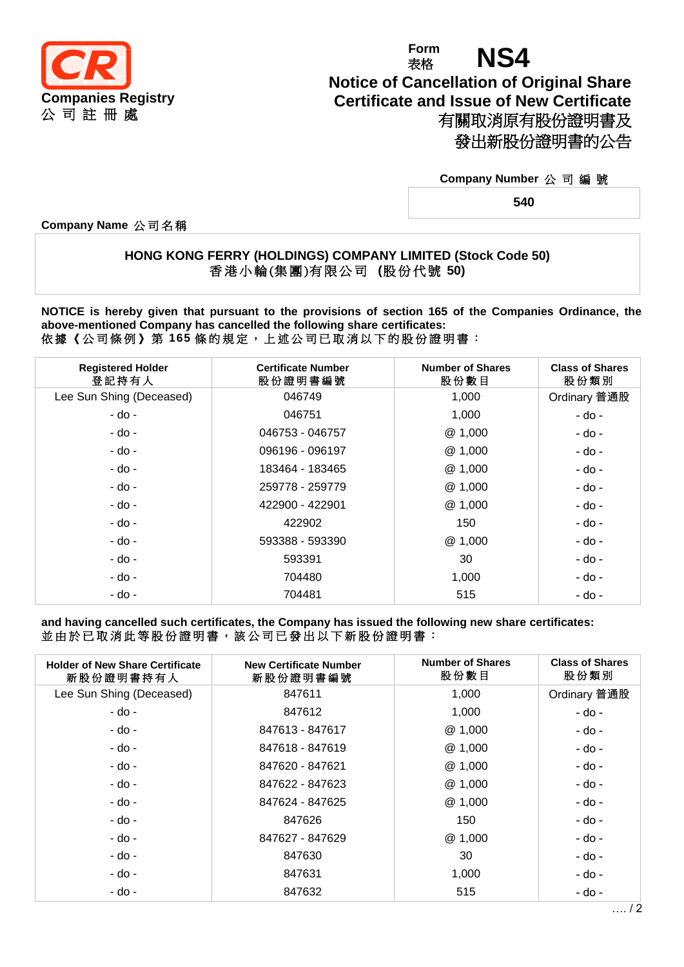

## **Form** Form **NS4 Notice of Cancellation of Original Share Certificate and Issue of New Certificate** 有關取消原有股份證明書及 發出新股份證明書的公告

## **Company Number** 公 司 編 號

**540**

**Company Name** 公 司 名 稱

## **HONG KONG FERRY (HOLDINGS) COMPANY LIMITED (Stock Code 50)** 香 港 小 輪 (集 團 )有 限 公 司 **(**股 份 代 號 **50)**

**NOTICE is hereby given that pursuant to the provisions of section 165 of the Companies Ordinance, the above-mentioned Company has cancelled the following share certificates:** 依據《公司條例》第 **165** 條 的 規 定 , 上 述 公 司 已 取 消 以 下 的 股 份 證 明 書 :

| <b>Registered Holder</b><br>登記持有人 | <b>Certificate Number</b><br>股份證明書編號 | <b>Number of Shares</b><br>股份數目 | <b>Class of Shares</b><br>股份類別 |
|-----------------------------------|--------------------------------------|---------------------------------|--------------------------------|
| Lee Sun Shing (Deceased)          | 046749                               | 1,000                           | Ordinary 普通股                   |
| - do -                            | 046751                               | 1,000                           | - do -                         |
| - do -                            | 046753 - 046757                      | @1,000                          | - do -                         |
| - do -                            | 096196 - 096197                      | @ 1,000                         | - do -                         |
| - do -                            | 183464 - 183465                      | @1,000                          | - do -                         |
| - do -                            | 259778 - 259779                      | @ 1,000                         | - do -                         |
| - do -                            | 422900 - 422901                      | @1,000                          | - do -                         |
| - do -                            | 422902                               | 150                             | - do -                         |
| - do -                            | 593388 - 593390                      | @1,000                          | - do -                         |
| - do -                            | 593391                               | 30                              | - do -                         |
| - do -                            | 704480                               | 1,000                           | - do -                         |
| - do -                            | 704481                               | 515                             | - do -                         |

**and having cancelled such certificates, the Company has issued the following new share certificates:** 並由於已取消此等股份證明書,該公司已發出以下新股份證明書:

| <b>Holder of New Share Certificate</b><br>新股份證明書持有人 | <b>New Certificate Number</b><br>新股份證明書編號 | <b>Number of Shares</b><br>股份數目 | <b>Class of Shares</b><br>股份類別 |
|-----------------------------------------------------|-------------------------------------------|---------------------------------|--------------------------------|
| Lee Sun Shing (Deceased)                            | 847611                                    | 1,000                           | Ordinary 普通股                   |
| - do -                                              | 847612                                    | 1,000                           | - do -                         |
| - do -                                              | 847613 - 847617                           | @ 1,000                         | - do -                         |
| - do -                                              | 847618 - 847619                           | @ 1,000                         | - do -                         |
| - do -                                              | 847620 - 847621                           | @ 1,000                         | - do -                         |
| - do -                                              | 847622 - 847623                           | @ 1,000                         | - do -                         |
| - do -                                              | 847624 - 847625                           | @ 1,000                         | - do -                         |
| - do -                                              | 847626                                    | 150                             | - do -                         |
| - do -                                              | 847627 - 847629                           | @ 1,000                         | - do -                         |
| - do -                                              | 847630                                    | 30                              | - do -                         |
| - do -                                              | 847631                                    | 1,000                           | - do -                         |
| - do -                                              | 847632                                    | 515                             | - do -                         |